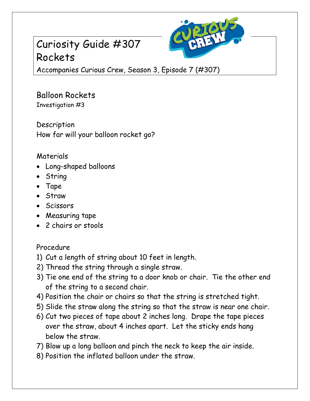# Curiosity Guide #307 Rockets



Accompanies Curious Crew, Season 3, Episode 7 (#307)

### Balloon Rockets Investigation #3

Description How far will your balloon rocket go?

## Materials

- Long-shaped balloons
- String
- Tape
- Straw
- Scissors
- Measuring tape
- 2 chairs or stools

### Procedure

- 1) Cut a length of string about 10 feet in length.
- 2) Thread the string through a single straw.
- 3) Tie one end of the string to a door knob or chair. Tie the other end of the string to a second chair.
- 4) Position the chair or chairs so that the string is stretched tight.
- 5) Slide the straw along the string so that the straw is near one chair.
- 6) Cut two pieces of tape about 2 inches long. Drape the tape pieces over the straw, about 4 inches apart. Let the sticky ends hang below the straw.
- 7) Blow up a long balloon and pinch the neck to keep the air inside.
- 8) Position the inflated balloon under the straw.